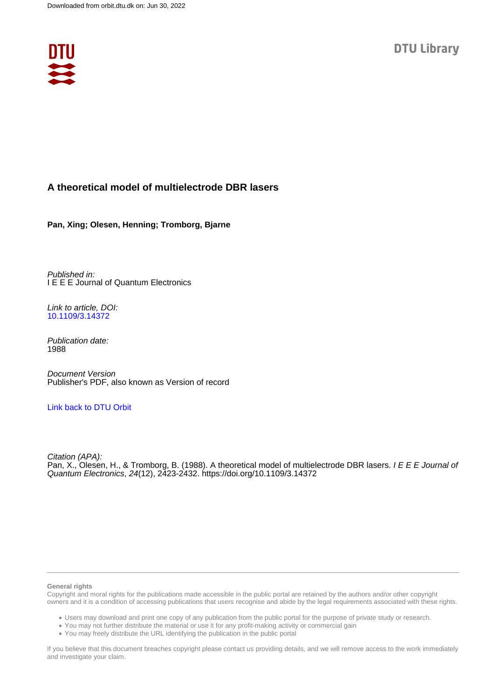

# **A theoretical model of multielectrode DBR lasers**

**Pan, Xing; Olesen, Henning; Tromborg, Bjarne**

Published in: I E E E Journal of Quantum Electronics

Link to article, DOI: [10.1109/3.14372](https://doi.org/10.1109/3.14372)

Publication date: 1988

Document Version Publisher's PDF, also known as Version of record

## [Link back to DTU Orbit](https://orbit.dtu.dk/en/publications/251f236f-9ec2-4e20-9f6e-b46534700cba)

Citation (APA): Pan, X., Olesen, H., & Tromborg, B. (1988). A theoretical model of multielectrode DBR lasers. *I E E E Journal of* Quantum Electronics, 24(12), 2423-2432.<https://doi.org/10.1109/3.14372>

#### **General rights**

Copyright and moral rights for the publications made accessible in the public portal are retained by the authors and/or other copyright owners and it is a condition of accessing publications that users recognise and abide by the legal requirements associated with these rights.

Users may download and print one copy of any publication from the public portal for the purpose of private study or research.

- You may not further distribute the material or use it for any profit-making activity or commercial gain
- You may freely distribute the URL identifying the publication in the public portal

If you believe that this document breaches copyright please contact us providing details, and we will remove access to the work immediately and investigate your claim.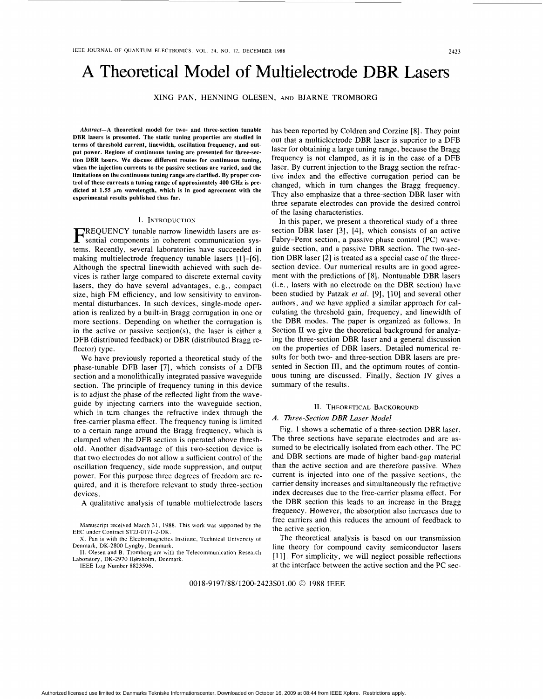# **A** Theoretical Model of Multielectrode DBR Lasers

XING PAN, HENNING OLESEN, AND BJARNE TROMBORG

*Abstract-A* **theoretical model for two- and three-section tunable DBR lasers is presented. The static tuning properties are studied in terms of threshold current, linewidth, oscillation frequency, and output power. Regions of continuous tuning are presented for three-section DBR lasers. We discuss different routes for continuous tuning, when the injection currents to the passive sections are varied, and the limitations on the continuous tuning range are clarified. By proper control of these currents a tuning range of approximately 400 GHz is predicted at 1.55 pm wavelength, which is in good agreement with the experimental results published thus far.** 

#### I. INTRODUCTION

REQUENCY tunable narrow linewidth lasers are es- F sential components in coherent communication systems. Recently, several laboratories have succeeded in making multielectrode frequency tunable lasers [1]-[6]. Although the spectral linewidth achieved with such devices is rather large compared to discrete external cavity lasers, they do have several advantages, e.g., compact size, high FM efficiency, and low sensitivity to environmental disturbances. In such devices, single-mode operation is realized by a built-in Bragg corrugation in one or more sections. Depending on whether the corrugation is in the active or passive section(s), the laser is either a DFB (distributed feedback) or DBR (distributed Bragg reflector) type.

We have previously reported a theoretical study of the phase-tunable DFB laser [7], which consists of a DFB section and a monolithically integrated passive waveguide section. The principle of frequency tuning in this device is to adjust the phase of the reflected light from the waveguide by injecting carriers into the waveguide section, which in turn changes the refractive index through the free-carrier plasma effect. The frequency tuning is limited to a certain range around the Bragg frequency, which is clamped when the DFB section is operated above threshold. Another disadvantage of this two-section device is that two electrodes do not allow a sufficient control of the oscillation frequency, side mode suppression, and output power. For this purpose three degrees of freedom are required, and it is therefore relevant to study three-section devices.

A qualitative analysis of tunable multielectrode lasers

Manuscript received March 31, 1988. This work was supported by the EEC under Contract ST2J-0171-2-DK.

**X.** Pan is with the Electromagnetics Institute, Technical University of Denmark, DK-2800 Lyngby, Denmark.

**H.** Olesen and **B.** Tromborg are with the Telecommunication Research Laboratory, DK-2970 Hørsholm, Denmark.

IEEE Log Number 8823596.

has been reported by Coldren and Corzine **[8].** They point out that a multielectrode DBR laser is superior to a DFB laser for obtaining a large tuning range, because the Bragg frequency is not clamped, as it is in the case of a DFB laser. By current injection to the Bragg section the refractive index and the effective corrugation period can be changed, which in turn changes the Bragg frequency. They also emphasize that a three-section DBR laser with three separate electrodes can provide the desired control of the lasing characteristics.

In this paper, we present a theoretical study of a threesection DBR laser *[3],* [4], which consists of an active Fabry-Perot section, a passive phase control (PC) waveguide section, and a passive DBR section. The two-section DBR laser [2] is treated as **a** special case of the threesection device. Our numerical results are in good agreement with the predictions of **[8].** Nontunable DBR lasers (i.e., lasers with no electrode on the DBR section) have been studied by Patzak et al. [9], [10] and several other authors, and we have applied a similar approach for calculating the threshold gain, frequency, and linewidth of the DBR modes. The paper is organized as follows. In Section II we give the theoretical background for analyzing the three-section DBR laser and a general discussion on the properties of DBR lasers. Detailed numerical results for both two- and three-section DBR lasers are presented in Section III, and the optimum routes of continuous tuning are discussed. Finally, Section IV gives a summary of the results.

#### II. THEORETICAL BACKGROUND

### *A. Three-Section DBR Laser Model*

[Fig. 1](#page-2-0) shows a schematic of **a** three-section DBR laser. The three sections have separate electrodes and are assumed to be electrically isolated from each other. The PC and DBR sections are made of higher band-gap material than the active section and are therefore passive. When current is injected into one of the passive sections, the carrier density increases and simultaneously the refractive index decreases due to the free-carrier plasma effect. For the DBR section this leads to an increase in the Bragg frequency. However, the absorption also increases due to free carriers and this reduces the amount of feedback to the active section.

The theoretical analysis is based on our transmission line theory for compound cavity semiconductor lasers [11]. For simplicity, we will neglect possible reflections at the interface between the active section and the PC sec-

0018-9197/88/1200-2423\$01 .OO @ 1988 IEEE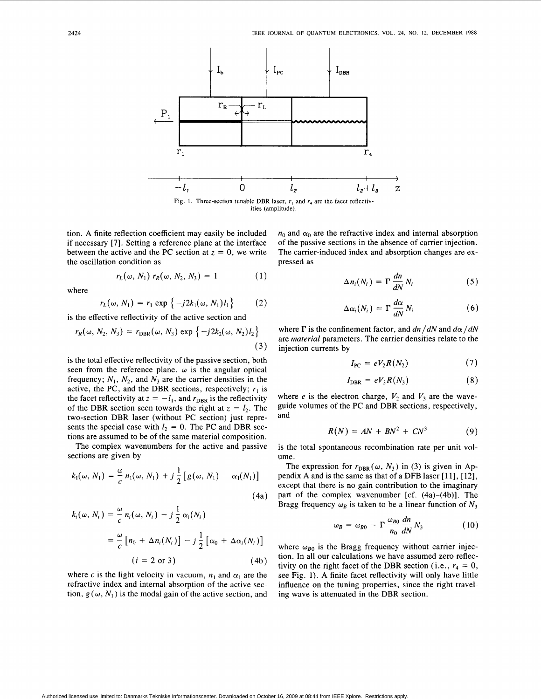<span id="page-2-0"></span>

**ities (amplitude).** 

tion. A finite reflection coefficient may easily be included if necessary [7]. Setting a reference plane at the interface between the active and the PC section at  $z = 0$ , we write the oscillation condition as

$$
r_L(\omega, N_1) r_R(\omega, N_2, N_3) = 1 \qquad (1)
$$

where

$$
r_L(\omega, N_1) = r_1 \exp \left\{-j2k_1(\omega, N_1)l_1\right\} \qquad (2)
$$

is the effective reflectivity of the active section and

$$
r_R(\omega, N_2, N_3) = r_{\text{DBR}}(\omega, N_3) \exp \{-j2k_2(\omega, N_2)l_2\}
$$
\n(3)

is the total effective reflectivity of the passive section, both seen from the reference plane.  $\omega$  is the angular optical frequency;  $N_1$ ,  $N_2$ , and  $N_3$  are the carrier densities in the active, the PC, and the DBR sections, respectively;  $r_1$  is the facet reflectivity at  $z = -l_1$ , and  $r_{DBR}$  is the reflectivity of the DBR section seen towards the right at  $z = l_2$ . The two-section DBR laser (without PC section) just represents the special case with  $l_2 = 0$ . The PC and DBR sections are assumed to be of the same material composition.

The complex wavenumbers for the active and passive sections are given by

$$
k_1(\omega, N_1) = \frac{\omega}{c} n_1(\omega, N_1) + j \frac{1}{2} [g(\omega, N_1) - \alpha_1(N_1)]
$$
\n(4a)

$$
k_i(\omega, N_i) = \frac{\omega}{c} n_i(\omega, N_i) - j \frac{1}{2} \alpha_i(N_i)
$$
  
= 
$$
\frac{\omega}{c} [n_0 + \Delta n_i(N_i)] - j \frac{1}{2} [\alpha_0 + \Delta \alpha_i(N_i)]
$$
  
(*i* = 2 or 3) (4b)

where c is the light velocity in vacuum,  $n_1$  and  $\alpha_1$  are the refractive index and internal absorption of the active section,  $g(\omega, N_1)$  is the modal gain of the active section, and  $n_0$  and  $\alpha_0$  are the refractive index and internal absorption of the passive sections in the absence of carrier injection. The carrier-induced index and absorption changes are expressed as

$$
\Delta n_i(N_i) = \Gamma \frac{dn}{dN} N_i
$$
 (5)

$$
\Delta n_i(N_i) = 1 \frac{dN}{N_i}
$$
\n
$$
\Delta \alpha_i(N_i) = \Gamma \frac{d\alpha}{dN} N_i
$$
\n(6)

where  $\Gamma$  is the confinement factor, and  $dn/dN$  and  $d\alpha/dN$ are *material* parameters. The carrier densities relate to the **(3)** injection currents by

$$
I_{PC} = eV_2R(N_2) \tag{7}
$$

$$
I_{\text{DBR}} = eV_3R(N_3) \tag{8}
$$

where *e* is the electron charge,  $V_2$  and  $V_3$  are the waveguide volumes of the PC and DBR sections, respectively, and

$$
R(N) = AN + BN^2 + CN^3 \tag{9}
$$

is the total spontaneous recombination rate per unit volume.

The expression for  $r_{\text{DBR}}(\omega, N_3)$  in (3) is given in Appendix A and is the same as that of a DFB laser [ **1 11,** [ **121,**  except that there is no gain contribution to the imaginary part of the complex wavenumber [cf.  $(4a)-(4b)$ ]. The Bragg frequency  $\omega_B$  is taken to be a linear function of  $N_3$ 

$$
\omega_B = \omega_{B0} - \Gamma \frac{\omega_{B0}}{n_0} \frac{dn}{dN} N_3 \tag{10}
$$

where  $\omega_{B0}$  is the Bragg frequency without carrier injection. In all our calculations we have assumed zero reflectivity on the right facet of the DBR section (i.e.,  $r_4 = 0$ , see Fig. 1). A finite facet reflectivity will only have little influence on the tuning properties, since the right traveling wave is attenuated in the DBR section.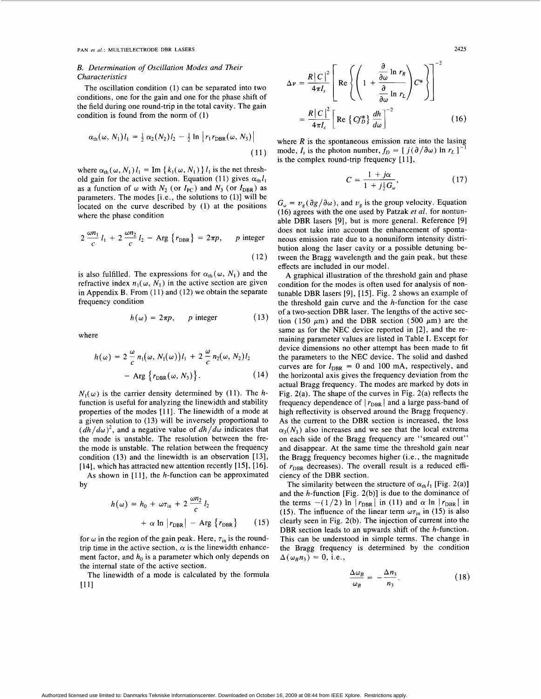PAN *et al.:* MULTIELECTRODE DBR LASERS **2425** 

#### B. Determination of Oscillation Modes and Their **Characteristics**

The oscillation condition (1) can be separated into two the field during one round-trip in the total cavity. The gain condition is found from the norm of (1)

$$
\alpha_{\text{th}}(\omega, N_1)l_1 = \frac{1}{2}\alpha_2(N_2)l_2 - \frac{1}{2}\ln|r_1r_{\text{DBR}}(\omega, N_3)|
$$
\n(11)

where  $\alpha_{\text{th}}(\omega, N_1)l_1 = \text{Im}\left\{k_1(\omega, N_1)\right\}l_1$  is the net threshold gain for the active section. Equation (11) gives  $\alpha_{\text{th}} l_1$ as a function of  $\omega$  with *N<sub>2</sub>* (or  $I_{\text{PC}}$ ) and *N<sub>3</sub>* (or  $I_{\text{DBR}}$ ) as parameters. The modes [i.e., the solutions to (1)] will be located on the curve described by (1) at the positions where the phase condition

$$
2 \frac{\omega n_1}{c} l_1 + 2 \frac{\omega n_2}{c} l_2 - \text{Arg} \{r_{\text{DBR}}\} = 2\pi p, \quad p \text{ integer}
$$
\n(12)

is also fulfilled. The expressions for  $\alpha_{th}(\omega, N_1)$  and the refractive index  $n_1(\omega, N_1)$  in the active section are given in Appendix B. From  $(11)$  and  $(12)$  we obtain the separate frequency condition

$$
h(\omega) = 2\pi p, \qquad p \text{ integer} \tag{13}
$$

where

$$
h(\omega) = 2 \frac{\omega}{c} n_1(\omega, N_1(\omega)) l_1 + 2 \frac{\omega}{c} n_2(\omega, N_2) l_2
$$

$$
- \text{Arg} \left\{ r_{\text{DBR}}(\omega, N_3) \right\}. \tag{14}
$$

 $N_1(\omega)$  is the carrier density determined by (11). The *h*function is useful for analyzing the linewidth and stability properties of the modes [11]. The linewidth of a mode at a given solution to (13) will be inversely proportional to  $(dh/d\omega)^2$ , and a negative value of  $dh/d\omega$  indicates that the mode is unstable. The resolution between the frethe mode is unstable. The relation between the frequency condition (13) and the linewidth is an observation [13], [14], which has attracted new attention recently [15], [16].

As shown in  $[11]$ , the *h*-function can be approximated by

$$
h(\omega) = h_0 + \omega \tau_{\text{in}} + 2 \frac{\omega n_2}{c} l_2
$$

$$
+ \alpha \ln |r_{\text{DBR}}| - \text{Arg} \{r_{\text{DBR}} \} \qquad (15)
$$

for  $\omega$  in the region of the gain peak. Here,  $\tau_{in}$  is the roundtrip time in the active section,  $\alpha$  is the linewidth enhancement factor, and  $h_0$  is a parameter which only depends on the internal state of the active section.

The linewidth of a mode is calculated by the formula [I11

*B. Determination of Oscillation Models and Their*  
\nCharacteristics  
\nThe oscillation condition (1) can be separated into two  
\nconditions, one for the gain and one for the phase shift of  
\nthe field during one round-trip in the total cavity. The gain  
\ncondition is found from the norm of (1)  
\n
$$
= \frac{R |C|^2}{4 \pi I_s} \left[ Re \left\{ \left( 1 + \frac{\frac{\partial}{\partial \omega} \ln r_R}{\frac{\partial}{\partial \omega} \ln r_L} \right) C^* \right\} \right]^{-2}
$$
\n
$$
= \frac{R |C|^2}{4 \pi I_s} \left[ Re \left\{ C f_D^* \right\} \frac{dh}{d\omega} \right]^{-2}
$$
\n(16)

where  $R$  is the spontaneous emission rate into the lasing mode,  $I_s$  is the photon number,  $f_D = [j(\partial/\partial \omega) \ln r_L]$ is the complex round-trip frequency  $[11]$ ,

$$
C = \frac{1 + j\alpha}{1 + j\frac{1}{2}G_{\omega}},\tag{17}
$$

 $G_{\omega} = v_{\alpha}(\partial g/\partial \omega)$ , and  $v_{\alpha}$  is the group velocity. Equation (16) agrees with the one used by Patzak  $et$  al. for nontunable DBR lasers [9], but is more general. Reference [9] does not take into account the enhancement of spontaneous emission rate due to a nonuniform intensity distribution along the laser cavity or a possible detuning between the Bragg wavelength and the gain peak, but these effects are included in our model.

**A** graphical illustration of the threshold gain and phase condition for the modes is often used for analysis of nontunable DBR lasers [9], [ 151. Fig. 2 shows an example of the threshold gain curve and the  $h$ -function for the case of a two-section DBR laser. The lengths of the active section (150  $\mu$ m) and the DBR section (500  $\mu$ m) are the same as for the NEC device reported in [2], and the remaining parameter values are listed in Table **1.** Except for device dimensions no other attempt has been made to fit the parameters to the NEC device. The solid and dashed curves are for  $I_{\text{DBR}} = 0$  and 100 mA, respectively, and the horizontal axis gives the frequency deviation from the actual Bragg frequency. The modes are marked by dots in Fig.  $2(a)$ . The shape of the curves in Fig.  $2(a)$  reflects the frequency dependence of  $|r_{\text{DBR}}|$  and a large pass-band of high reflectivity is observed around the Bragg frequency. As the current to the DBR section is increased, the loss  $\alpha_3(N_3)$  also increases and we see that the local extrema on each side of the Bragg frequency are "smeared out" and disappear. At the same time the threshold gain near the Bragg frequency becomes higher (i.e., the magnitude of  $r_{\text{DBR}}$  decreases). The overall result is a reduced efficiency of the DBR section.

The similarity between the structure of  $\alpha_{\text{th}} l_1$  [Fig. 2(a)] and the h-function [Fig. 2(b)] is due to the dominance of the terms  $-(1/2) \ln |r_{DBR}|$  in (11) and  $\alpha \ln |r_{DBR}|$  in (15). The influence of the linear term  $\omega\tau_{\text{in}}$  in (15) is also clearly seen in Fig. 2(b). The injection of current into the DBR section leads to an upwards shift of the h-function. This can be understood in simple terms. The change in the Bragg frequency is determined by the condition  $\Delta(\omega_B n_3) = 0$ , i.e.,

$$
\frac{\Delta \omega_B}{\omega_B} = -\frac{\Delta n_3}{n_3}.
$$
 (18)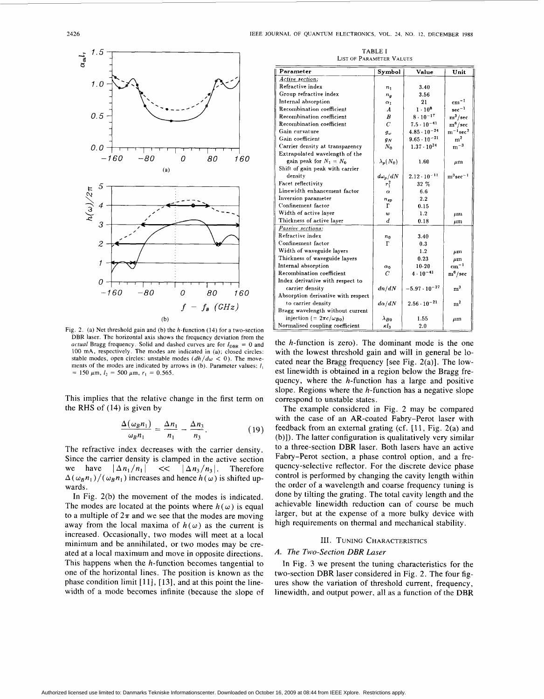

TABLE I LIST OF PARAMETER VALUES



Fig. 2. (a) Net threshold gain and (b) the h-function (14) for a two-section DBR laser. The horizontal axis shows the frequency deviation from the *actual* Bragg frequency. Solid and dashed curves are for  $I_{\text{DBR}} = 0$  and 100 mA, respectively. The modes are indicated in (a); closed circles: stable modes, open circles: unstable modes  $(dh/d\omega < 0)$ . The movements of the modes are indicated by arrows in  $(b)$ . Parameter values:  $l_1$  $= 150 \mu \text{m}, l_2 = 500 \mu \text{m}, r_1 = 0.565.$ 

This implies that the relative change in the first term on the RHS of (14) is given by

$$
\frac{\Delta(\omega_B n_1)}{\omega_B n_1} = \frac{\Delta n_1}{n_1} - \frac{\Delta n_3}{n_3}.
$$
 (19)

The refractive index decreases with the carrier density. Since the carrier density is clamped in the active section we have  $|\Delta n_1/n_1| \ll |\Delta n_3/n_3|$ . Therefore  $\Delta(\omega_B n_1) / (\omega_B n_1)$  increases and hence  $h(\omega)$  is shifted upwards.

In Fig. 2(b) the movement of the modes is indicated. The modes are located at the points where  $h(\omega)$  is equal to a multiple of  $2\pi$  and we see that the modes are moving away from the local maxima of  $h(\omega)$  as the current is increased. Occasionally, two modes will meet at a local minimum and be annihilated, or two modes may be created at a local maximum and move in opposite directions. This happens when the h-function becomes tangential to one of the horizontal lines. The position is known as the phase condition limit  $[11]$ ,  $[13]$ , and at this point the linewidth of a mode becomes infinite (because the slope of

| Parameter                           | Symbol           | Value                  | Unit                        |
|-------------------------------------|------------------|------------------------|-----------------------------|
| Active section:                     |                  |                        |                             |
| Refractive index                    | $n_1$            | 3.40                   |                             |
| Group refractive index              | $n_q$            | 3.56                   |                             |
| Internal absorption                 | $\alpha_1$       | 21                     | $cm^{-1}$                   |
| Recombination coefficient           | A                | $1 - 10^8$             | $sec^{-1}$                  |
| Recombination coefficient           | B                | $8 \cdot 10^{-17}$     | $m^3/sec$                   |
| Recombination coefficient           | $\overline{C}$   | $7.5 \cdot 10^{-41}$   | $\mathrm{m}^6/\mathrm{sec}$ |
| Gain curvature                      | $g_{\omega}$     | $4.85 \cdot 10^{-24}$  | $m^{-1}$ sec <sup>2</sup>   |
| Gain coefficient                    | $g_N$            | $9.65 \cdot 10^{-21}$  | m <sup>2</sup>              |
| Carrier density at transparency     | $N_0$            | $1.37 \cdot 10^{24}$   | $m^{-3}$                    |
| Extrapolated wavelength of the      |                  |                        |                             |
| gain peak for $N_1 = N_0$           | $\lambda_p(N_0)$ | 1.60                   | $\mu$ m                     |
| Shift of gain peak with carrier     |                  |                        |                             |
| density                             | $d\omega_p/dN$   | $2.12 \cdot 10^{-11}$  | $m^3$ sec $^{-1}$           |
| Facet reflectivity                  | $r_1^2$          | 32 %                   |                             |
| Linewidth enhancement factor        | $\alpha$         | 6.6                    |                             |
| Inversion parameter                 | $n_{sp}$         | 2.2                    |                             |
| Confinement factor                  | Г                | 0.15                   |                             |
| Width of active layer               | w                | 1.2                    | $\mu$ m                     |
| Thickness of active layer           | d                | 0.18                   | $\mu$ m                     |
| Passive sections:                   |                  |                        |                             |
| Refractive index                    | $n_0$            | 3.40                   |                             |
| Confinement factor                  | $\Gamma$         | 0.3                    |                             |
| Width of waveguide layers           |                  | 1.2                    | $\mu$ m                     |
| Thickness of waveguide layers       |                  | 0.23                   | $\mu$ m                     |
| Internal absorption                 | $\alpha_0$       | $10 - 20$              | $cm^{-1}$                   |
| Recombination coefficient           | C                | $4 \cdot 10^{-41}$     | $\mathrm{m}^6/\mathrm{sec}$ |
| Index derivative with respect to    |                  |                        |                             |
| carrier density                     | dn/dN            | $-5.97 \cdot 10^{-27}$ | m <sup>3</sup>              |
| Absorption derivative with respect  |                  |                        |                             |
| to carrier density                  | $d\alpha/dN$     | $2.56 \cdot 10^{-21}$  | m <sup>2</sup>              |
| Bragg wavelength without current    |                  |                        |                             |
| injection (= $2\pi c/\omega_{B0}$ ) | $\lambda_{B0}$   | 1.55                   | $\mu$ m                     |
| Normalised coupling coefficient     | $\kappa l_3$     | 2.0                    |                             |

the h-function is zero). The dominant mode is the one with the lowest threshold gain and will in general be located near the Bragg frequency [see Fig.  $2(a)$ ]. The lowest linewidth is obtained in a region below the Bragg frequency, where the h-function has a large and positive slope. Regions where the  $h$ -function has a negative slope correspond to unstable states.

The example considered in Fig. 2 may be compared with the case of an AR-coated Fabry-Perot laser with feedback from an external grating (cf. [ll, Fig. 2(a) and (b)]). The latter configuration is qualitatively very similar to a three-section DBR laser. Both lasers have an active Fabry-Perot section, a phase control option, and a frequency-selective reflector. For the discrete device phase control is performed by changing the cavity length within the order of a wavelength and coarse frequency tuning is done by tilting the grating. The total cavity length and the achievable linewidth reduction can of course be much larger, but at the expense of a more bulky device with high requirements on thermal and mechanical stability.

#### 111. TUNING CHARACTERISTICS

#### *A. The Two-Section DBR Laser*

In [Fig.](#page-5-0) **3** we present the tuning characteristics for the two-section DBR laser considered in Fig. 2. The four figures show the variation of threshold current, frequency, linewidth, and output power, all as a function of the **DBR**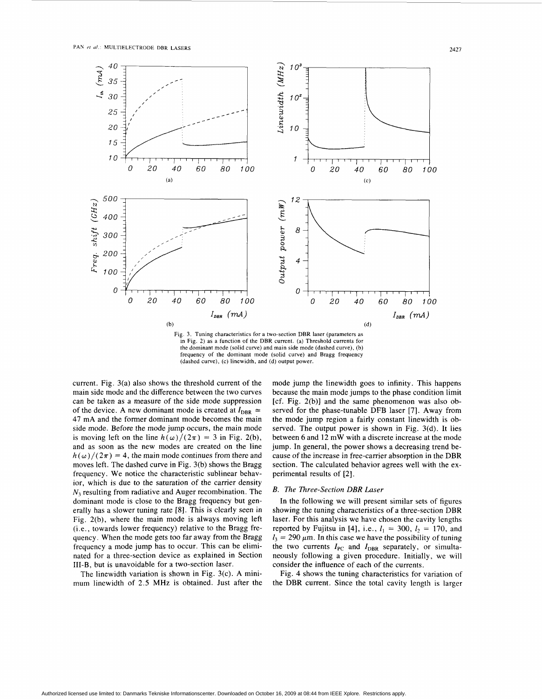<span id="page-5-0"></span>

![](_page_5_Figure_2.jpeg)

current. Fig. 3(a) also shows the threshold current of the main side mode and the difference between the two curves can be taken as a measure of the side mode suppression of the device. A new dominant mode is created at  $I_{\text{DRR}} \approx$ 47 mA and the former dominant mode becomes the main side mode. Before the mode jump occurs, the main mode is moving left on the line  $h(\omega)/(2\pi) = 3$  in Fig. 2(b), and as soon as the new modes are created on the line  $h(\omega)/(2\pi) = 4$ , the main mode continues from there and moves left. The dashed curve in Fig. 3(b) shows the Bragg frequency. We notice the characteristic sublinear behavior, which is due to the saturation of the carrier density *N3* resulting from radiative and Auger recombination. The dominant mode is close to the Bragg frequency but generally has a slower tuning rate **[8].** This is clearly seen in Fig. 2(b), where the main mode is always moving left (i.e., towards lower frequency) relative to the Bragg frequency. When the mode gets too far away from the Bragg frequency a mode jump has to occur. This can be eliminated for a three-section device as explained in Section **111-B,** but **is** unavoidable for a two-section laser.

The linewidth variation is shown in Fig. 3(c). **A** minimum linewidth of 2.5 **MHz** is obtained. Just after the mode jump the linewidth goes to infinity. This happens because the main mode jumps to the phase condition limit [cf. Fig. 2(b)] and the same phenomenon was also observed for the phase-tunable DFB laser *[7].* Away from the mode jump region a fairly constant linewidth is observed. The output power is shown in Fig. 3(d). It lies between **6** and 12 mW with a discrete increase at the mode jump. In general, the power shows a decreasing trend because of the increase in free-carrier absorption in the DBR section. The calculated behavior agrees well with the experimental results of *[2].* 

#### *B. The Three-Section DBR Laser*

In the following we will present similar sets of figures showing the tuning characteristics of a three-section DBR laser. For this analysis we have chosen the cavity lengths reported by Fujitsu in [4], i.e.,  $l_1 = 300$ ,  $l_2 = 170$ , and  $l_3$  = 290  $\mu$ m. In this case we have the possibility of tuning the two currents  $I_{\text{PC}}$  and  $I_{\text{DBR}}$  separately, or simultaneously following a given procedure. Initially, we will consider the influence of each of the currents.

[Fig. 4](#page-6-0) shows the tuning characteristics for variation of the DBR current. Since the total cavity length is larger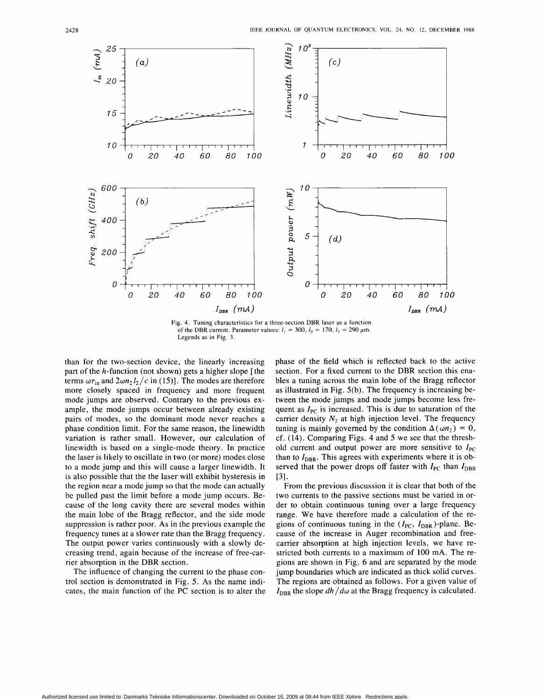<span id="page-6-0"></span>![](_page_6_Figure_1.jpeg)

of the DBR current. Parameter values:  $l_1 = 300$ ,  $l_2 = 170$ ,  $l_3 = 290 \,\mu \text{m}$ . Legends **as** in [Fig.](#page-5-0) **3** 

than for the two-section device, the linearly increasing part of the  $h$ -function (not shown) gets a higher slope [the terms  $\omega\tau_{\text{in}}$  and  $2\omega n_2 l_2 / c$  in (15)]. The modes are therefore more closely spaced in frequency and more frequent mode jumps are observed. Contrary to the previous example, the mode jumps occur between already existing pairs of modes, so the dominant mode never reaches a phase condition limit. For the same reason, the linewidth variation is rather small. However, our calculation of linewidth is based on a single-mode theory. In practice the laser is likely to oscillate in two (or more) modes close to a mode jump and this will cause a larger linewidth. It is also possible that the the laser will exhibit hysteresis in the region near a mode jump so that the mode can actually be pulled past the limit before a mode jump occurs. Because of the long cavity there are several modes within the main lobe of the Bragg reflector, and the side mode suppression is rather poor. As in the previous example the frequency tunes at a slower rate than the Bragg frequency. The output power varies continuously with a slowly decreasing trend, again because of the increase of free-carrier absorption in the DBR section.

The influence of changing the current to the phase control section is demonstrated in Fig. *5.* As the name indicates, the main function of the **PC** section is to alter the

phase of the field which is reflected back to the active section. For a fixed current to the DBR section this enables a tuning across the main lobe of the Bragg reflector as illustrated in Fig. 5(b). The frequency is increasing between the mode jumps and mode jumps become less frequent as  $I_{\text{PC}}$  is increased. This is due to saturation of the carrier density  $N_2$  at high injection level. The frequency tuning is mainly governed by the condition  $\Delta(\omega n_2) = 0$ , cf. (14). Comparing Figs. **4** and 5 we see that the threshold current and output power are more sensitive to  $I_{\text{PC}}$ than to  $I_{\text{DRR}}$ . This agrees with experiments where it is observed that the power drops off faster with  $I_{\text{PC}}$  than  $I_{\text{DBR}}$ 131.

From the previous discussion it is clear that both of the two currents to the passive sections must be varied in order to obtain continuous tuning over a large frequency range. We have therefore made a calculation of the regions of continuous tuning in the  $(I_{PC}, I_{DBR})$ -plane. Because of the increase in Auger recombination and freecarrier absorption at high injection levels, we have restricted both currents to a maximum of 100 mA. The regions are shown in Fig. 6 and are separated by the mode jump boundaries which are indicated as thick solid curves. The regions are obtained as follows. For a given value of  $I_{\text{DBR}}$  the slope  $dh / d\omega$  at the Bragg frequency is calculated.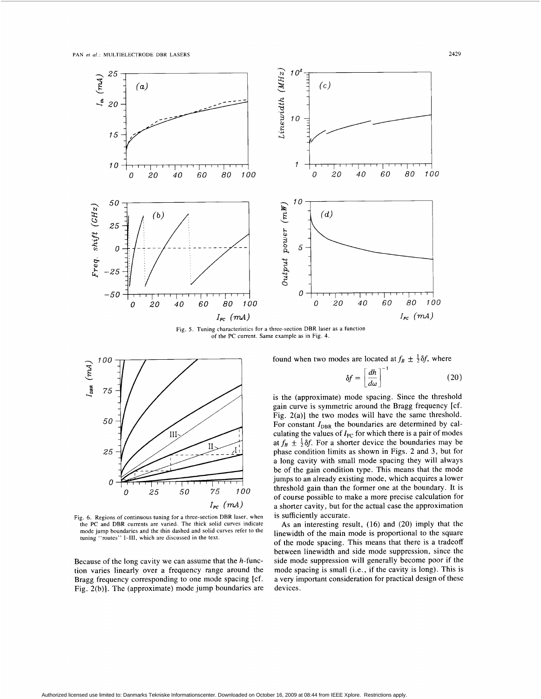![](_page_7_Figure_1.jpeg)

Fig. 5. Tuning characteristics for a three-section **DBR** laser as a function of the PC current. Same example as in Fig. 4.

![](_page_7_Figure_3.jpeg)

Fig. *6.* Regions of continuous tuning for **a** three-section **DBR** laser, when the PC and **DBR** currents are varied. The thick solid curves indicate mode jump boundaries and the thin dashed and solid curves refer to the tuning "routes" I-III, which are discussed in the text.

Because of the long cavity we can assume that the  $h$ -function varies linearly over a frequency range around the Bragg frequency corresponding to one mode spacing [cf. Fig. 2(b)]. The (approximate) mode jump boundaries are

found when two modes are located at 
$$
f_B \pm \frac{1}{2}\delta f
$$
, where  

$$
\delta f = \left[\frac{dh}{d\omega}\right]^{-1}
$$
(20)

is the (approximate) mode spacing. Since the threshold gain curve is symmetric around the Bragg frequency [cf. Fig. 2(a)] the two modes will have the same threshold. For constant  $I_{\text{DBR}}$  the boundaries are determined by calculating the values of  $I_{\text{PC}}$  for which there is a pair of modes at  $f_R + \frac{1}{2}\delta f$ . For a shorter device the boundaries may be phase condition limits as shown in Figs. 2 and **3,** but for a long cavity with small mode spacing they will always be of the gain condition type. This means that the mode jumps to an already existing mode, which acquires a lower threshold gain than the former one at the boundary. It is of course possible to make a more precise calculation for a shorter cavity, but for the actual case the approximation is sufficiently accurate.

**As** an interesting result, (16) and (20) imply that the linewidth of the main mode is proportional to the square of the mode spacing. This means that there is a tradeoff between linewidth and side mode suppression, since the side mode suppression will generally become poor if the mode spacing is small (i.e., if the cavity is long). This is a very important consideration for practical design of these devices.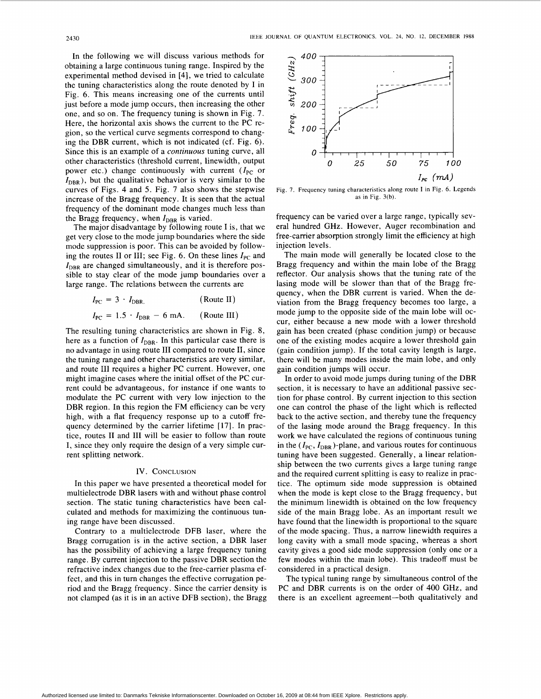In the following we will discuss various methods for obtaining a large continuous tuning range. Inspired by the experimental method devised in **[4],** we tried to calculate the tuning characteristics along the route denoted by I in Fig. **6.** This means increasing one of the currents until just before a mode jump occurs, then increasing the other one, and so on. The frequency tuning is shown in Fig. 7. Here, the horizontal axis shows the current to the PC region, so the vertical curve segments correspond to changing the DBR current, which is not indicated (cf. Fig. **6).**  Since this is an example of a *continuous* tuning curve, all other characteristics (threshold current, linewidth, output power etc.) change continuously with current  $(I_{PC}$  or  $I<sub>DBR</sub>$ ), but the qualitative behavior is very similar to the curves of [Figs.](#page-6-0) **4** and *5.* Fig. 7 also shows the stepwise increase of the Bragg frequency. It is seen that the actual frequency of the dominant mode changes much less than the Bragg frequency, when  $I_{\text{DBR}}$  is varied.

The major disadvantage by following route I is, that we get very close to the mode jump boundaries where the side mode suppression is poor. This can be avoided by following the routes II or III; see Fig.  $6$ . On these lines  $I_{\text{PC}}$  and  $I_{\text{DBR}}$  are changed simultaneously, and it is therefore possible to stay clear of the mode jump boundaries over a large range. The relations between the currents are

$$
I_{\rm PC} = 3 \cdot I_{\rm DBR,}
$$
 (Route II)

$$
I_{\text{PC}} = 1.5 \cdot I_{\text{DBR}} - 6 \text{ mA.} \qquad \text{(Route III)}
$$

The resulting tuning characteristics are shown in Fig. **8,**  here as a function of  $I_{\text{DBR}}$ . In this particular case there is no advantage in using route I11 compared to route 11, since the tuning range and other characteristics are very similar, and route III requires a higher PC current. However, one might imagine cases where the initial offset of the PC current could be advantageous, for instance if one wants to modulate the PC current with very low injection to the DBR region. In this region the FM efficiency can be very high, with a flat frequency response up to a cutoff frequency determined by the carrier lifetime [17]. In practice, routes I1 and I11 will be easier to follow than route I, since they only require the design of a very simple current splitting network.

#### **IV.** CONCLUSION

In this paper we have presented a theoretical model for multielectrode DBR lasers with and without phase control section. The static tuning characteristics have been calculated and methods for maximizing the continuous tuning range have been discussed.

Contrary to a multielectrode DFB laser, where the Bragg corrugation is in the active section, a DBR laser has the possibility of achieving a large frequency tuning range. By current injection to the passive DBR section the refractive index changes due to the free-carrier plasma effect, and this in turn changes the effective corrugation period and the Bragg frequency. Since the carrier density is not clamped (as it is in an active DFB section), the Bragg

![](_page_8_Figure_9.jpeg)

Fig. 7. Frequency tuning characteristics along route **I** in Fig. *6.* Legends as in Fig. 3(b).

frequency can be varied over a large range, typically several hundred GHz. However, Auger recombination and free-carrier absorption strongly limit the efficiency at high injection levels.

The main mode will generally be located close to the Bragg frequency and within the main lobe of the Bragg reflector. Our analysis shows that the tuning rate of the lasing mode will be slower than that of the Bragg frequency, when the DBR current is varied. When the deviation from the Bragg frequency becomes too large, a mode jump to the opposite side of the main lobe will occur, either because a new mode with a lower threshold gain has been created (phase condition jump) or because one of the existing modes acquire a lower threshold gain (gain condition jump). If the total cavity length is large, there will be many modes inside the main lobe, and only gain condition jumps will occur.

In order to avoid mode jumps during tuning of the DBR section, it is necessary to have an additional passive section for phase control. By current injection to this section one can control the phase of the light which is reflected back to the active section, and thereby tune the frequency of the lasing mode around the Bragg frequency. In this work we have calculated the regions of continuous tuning in the  $(I_{PC}, I_{DBR})$ -plane, and various routes for continuous tuning have been suggested. Generally, a linear relationship between the two currents gives a large tuning range and the required current splitting is easy to realize in practice. The optimum side mode suppression is obtained when the mode is kept close to the Bragg frequency, but the minimum linewidth is obtained on the low frequency side of the main Bragg lobe. **As** an important result we have found that the linewidth is proportional to the square of the mode spacing. Thus, a narrow linewidth requires a long cavity with a small mode spacing, whereas a short cavity gives a good side mode suppression (only one or a few modes within the main lobe). This tradeoff must be considered in a practical design.

The typical tuning range by simultaneous control of the PC and DBR currents is on the order of 400 GHz, and there is an excellent agreement-both qualitatively and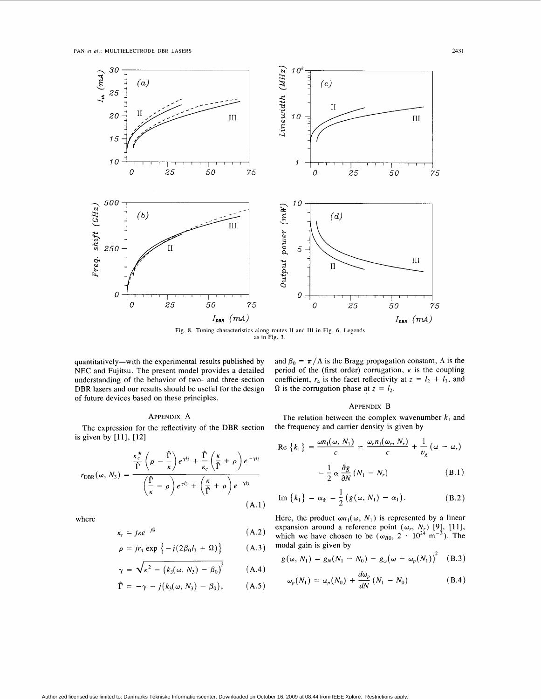![](_page_9_Figure_1.jpeg)

quantitatively-with the experimental results published by NEC and Fujitsu. The present model provides a detailed understanding of the behavior of two- and three-section DBR lasers and our results should be useful for the design of future devices based on these principles.

The expression for the reflectivity of the DBR section is given by [11], [12]

$$
r_{\text{DBR}}(\omega, N_3) = \frac{\frac{\kappa_c^{\star}}{\hat{\Gamma}}\left(\rho - \frac{\hat{\Gamma}}{\kappa}\right)e^{\gamma l_3} + \frac{\hat{\Gamma}}{\kappa_c}\left(\frac{\kappa}{\hat{\Gamma}} + \rho\right)e^{-\gamma l_3}}{\left(\frac{\hat{\Gamma}}{\kappa} - \rho\right)e^{\gamma l_3} + \left(\frac{\kappa}{\hat{\Gamma}} + \rho\right)e^{-\gamma l_3}}
$$
\n(A.1)

$$
\kappa_c = j\kappa e^{-j\Omega} \tag{A.2}
$$

$$
\rho = j r_4 \exp \left\{-j(2\beta_0 l_3 + \Omega)\right\} \tag{A.3}
$$

$$
\gamma = \sqrt{\kappa^2 - (k_3(\omega, N_3) - \beta_0)^2}
$$
 (A.4)

$$
\hat{\Gamma} = -\gamma - j(k_3(\omega, N_3) - \beta_0), \qquad (A.5)
$$

and  $\beta_0 = \pi / \Lambda$  is the Bragg propagation constant,  $\Lambda$  is the period of the (first order) corrugation,  $\kappa$  is the coupling coefficient,  $r_4$  is the facet reflectivity at  $z = l_2 + l_3$ , and  $\Omega$  is the corrugation phase at  $z = l_2$ .

### APPENDIX B

APPENDIX A<br>the reflectivity of the DBR section the frequency and carrier density is given by

$$
\text{Re}\left\{k_1\right\} = \frac{\omega n_1(\omega, N_1)}{c} \simeq \frac{\omega_r n_1(\omega_r, N_r)}{c} + \frac{1}{\nu_g}(\omega - \omega_r)
$$

$$
-\frac{1}{2}\alpha\frac{\partial g}{\partial N}(N_1-N_r) \tag{B.1}
$$

Im 
$$
\{k_1\} = \alpha_{\text{th}} = \frac{1}{2} (g(\omega, N_1) - \alpha_1).
$$
 (B.2)

where **Here**, the product  $\omega n_1(\omega, N_1)$  is represented by a linear  $\kappa_c = j\kappa e^{-j\Omega}$  (A.2) expansion around a reference point  $(\omega_r, N_r)$  [9], [11], which we have chosen to be  $(\omega_{B0}, 2 \cdot 10^{24} \text{ m}^{-3})$ . The *p*= modal gain is given by

$$
g(\omega, N_1) = g_N(N_1 - N_0) - g_\omega(\omega - \omega_p(N_1))^{2} \quad (B.3)
$$

$$
\omega_p(N_1) = \omega_p(N_0) + \frac{d\omega_p}{dN} (N_1 - N_0)
$$
 (B.4)